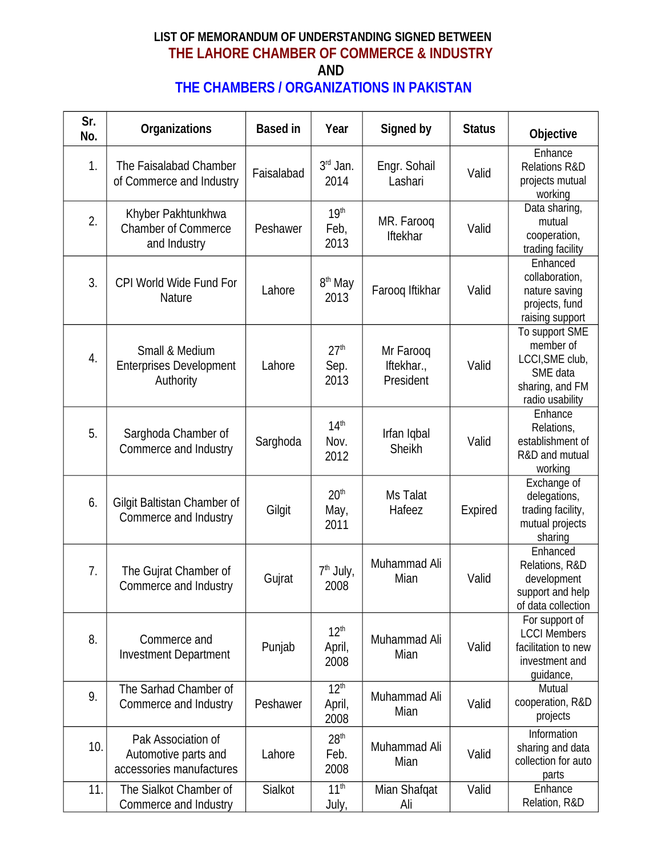## **LIST OF MEMORANDUM OF UNDERSTANDING SIGNED BETWEEN THE LAHORE CHAMBER OF COMMERCE & INDUSTRY AND THE CHAMBERS / ORGANIZATIONS IN PAKISTAN**

| Sr.<br>No. | <b>Organizations</b>                                                   | <b>Based in</b> | Year                               | Signed by                            | <b>Status</b> | <b>Objective</b>                                                                                 |
|------------|------------------------------------------------------------------------|-----------------|------------------------------------|--------------------------------------|---------------|--------------------------------------------------------------------------------------------------|
| 1.         | The Faisalabad Chamber<br>of Commerce and Industry                     | Faisalabad      | $3rd$ Jan.<br>2014                 | Engr. Sohail<br>Lashari              | Valid         | Enhance<br><b>Relations R&amp;D</b><br>projects mutual<br>working                                |
| 2.         | Khyber Pakhtunkhwa<br><b>Chamber of Commerce</b><br>and Industry       | Peshawer        | 19 <sup>th</sup><br>Feb,<br>2013   | MR. Farooq<br>Iftekhar               | Valid         | Data sharing,<br>mutual<br>cooperation,<br>trading facility                                      |
| 3.         | CPI World Wide Fund For<br>Nature                                      | Lahore          | 8 <sup>th</sup> May<br>2013        | Farooq Iftikhar                      | Valid         | Enhanced<br>collaboration,<br>nature saving<br>projects, fund<br>raising support                 |
| 4.         | Small & Medium<br><b>Enterprises Development</b><br>Authority          | Lahore          | 27 <sup>th</sup><br>Sep.<br>2013   | Mr Farooq<br>Iftekhar.,<br>President | Valid         | To support SME<br>member of<br>LCCI, SME club,<br>SME data<br>sharing, and FM<br>radio usability |
| 5.         | Sarghoda Chamber of<br>Commerce and Industry                           | Sarghoda        | 14 <sup>th</sup><br>Nov.<br>2012   | Irfan Iqbal<br>Sheikh                | Valid         | Enhance<br>Relations,<br>establishment of<br>R&D and mutual<br>working                           |
| 6.         | Gilgit Baltistan Chamber of<br>Commerce and Industry                   | Gilgit          | 20 <sup>th</sup><br>May,<br>2011   | <b>Ms Talat</b><br>Hafeez            | Expired       | Exchange of<br>delegations,<br>trading facility,<br>mutual projects<br>sharing                   |
| 7.         | The Gujrat Chamber of<br>Commerce and Industry                         | Gujrat          | $7th$ July,<br>2008                | Muhammad Ali<br>Mian                 | Valid         | Enhanced<br>Relations, R&D<br>development<br>support and help<br>of data collection              |
| 8.         | Commerce and<br><b>Investment Department</b>                           | Punjab          | 12 <sup>th</sup><br>April,<br>2008 | Muhammad Ali<br>Mian                 | Valid         | For support of<br><b>LCCI Members</b><br>facilitation to new<br>investment and<br>guidance,      |
| 9.         | The Sarhad Chamber of<br>Commerce and Industry                         | Peshawer        | 12 <sup>th</sup><br>April,<br>2008 | Muhammad Ali<br>Mian                 | Valid         | Mutual<br>cooperation, R&D<br>projects                                                           |
| 10.        | Pak Association of<br>Automotive parts and<br>accessories manufactures | Lahore          | 28 <sup>th</sup><br>Feb.<br>2008   | Muhammad Ali<br>Mian                 | Valid         | Information<br>sharing and data<br>collection for auto<br>parts                                  |
| 11.        | The Sialkot Chamber of<br>Commerce and Industry                        | Sialkot         | 11 <sup>th</sup><br>July,          | Mian Shafqat<br>Ali                  | Valid         | Enhance<br>Relation, R&D                                                                         |